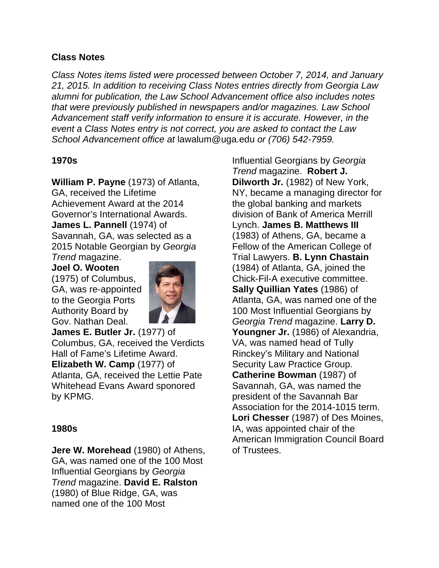# **Class Notes**

*Class Notes items listed were processed between October 7, 2014, and January 21, 2015. In addition to receiving Class Notes entries directly from Georgia Law alumni for publication, the Law School Advancement office also includes notes that were previously published in newspapers and/or magazines. Law School Advancement staff verify information to ensure it is accurate. However, in the event a Class Notes entry is not correct, you are asked to contact the Law School Advancement office at* lawalum@uga.edu *or (706) 542-7959.*

## **1970s**

**William P. Payne** (1973) of Atlanta, GA, received the Lifetime Achievement Award at the 2014 Governor's International Awards. **James L. Pannell** (1974) of Savannah, GA, was selected as a 2015 Notable Georgian by *Georgia Trend* magazine.

**Joel O. Wooten** (1975) of Columbus, GA, was re-appointed to the Georgia Ports Authority Board by Gov. Nathan Deal.



**James E. Butler Jr.** (1977) of Columbus, GA, received the Verdicts Hall of Fame's Lifetime Award. **Elizabeth W. Camp** (1977) of Atlanta, GA, received the Lettie Pate Whitehead Evans Award sponored by KPMG.

## **1980s**

**Jere W. Morehead** (1980) of Athens, GA, was named one of the 100 Most Influential Georgians by *Georgia Trend* magazine. **David E. Ralston** (1980) of Blue Ridge, GA, was named one of the 100 Most

Influential Georgians by *Georgia Trend* magazine. **Robert J. Dilworth Jr.** (1982) of New York, NY, became a managing director for the global banking and markets division of Bank of America Merrill Lynch. **James B. Matthews III**  (1983) of Athens, GA, became a Fellow of the American College of Trial Lawyers. **B. Lynn Chastain** (1984) of Atlanta, GA, joined the Chick-Fil-A executive committee. **Sally Quillian Yates** (1986) of Atlanta, GA, was named one of the 100 Most Influential Georgians by *Georgia Trend* magazine. **Larry D. Youngner Jr.** (1986) of Alexandria, VA, was named head of Tully Rinckey's Military and National Security Law Practice Group. **Catherine Bowman** (1987) of Savannah, GA, was named the president of the Savannah Bar Association for the 2014-1015 term. **Lori Chesser** (1987) of Des Moines, IA, was appointed chair of the American Immigration Council Board of Trustees.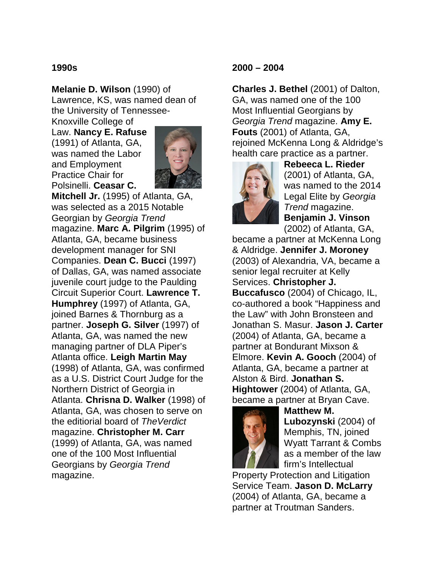#### **1990s**

**Melanie D. Wilson** (1990) of Lawrence, KS, was named dean of the University of Tennessee-

Knoxville College of Law. **Nancy E. Rafuse** (1991) of Atlanta, GA, was named the Labor and Employment Practice Chair for Polsinelli. **Ceasar C.** 



**Mitchell Jr.** (1995) of Atlanta, GA, was selected as a 2015 Notable Georgian by *Georgia Trend*  magazine. **Marc A. Pilgrim** (1995) of Atlanta, GA, became business development manager for SNI Companies. **Dean C. Bucci** (1997) of Dallas, GA, was named associate juvenile court judge to the Paulding Circuit Superior Court. **Lawrence T. Humphrey** (1997) of Atlanta, GA, joined Barnes & Thornburg as a partner. **Joseph G. Silver** (1997) of Atlanta, GA, was named the new managing partner of DLA Piper's Atlanta office. **Leigh Martin May** (1998) of Atlanta, GA, was confirmed as a U.S. District Court Judge for the Northern District of Georgia in Atlanta. **Chrisna D. Walker** (1998) of Atlanta, GA, was chosen to serve on the editiorial board of *TheVerdict*  magazine. **Christopher M. Carr** (1999) of Atlanta, GA, was named one of the 100 Most Influential Georgians by *Georgia Trend*  magazine.

## **2000 – 2004**

**Charles J. Bethel** (2001) of Dalton, GA, was named one of the 100 Most Influential Georgians by *Georgia Trend* magazine. **Amy E. Fouts** (2001) of Atlanta, GA, rejoined McKenna Long & Aldridge's health care practice as a partner.



**Rebeeca L. Rieder**  (2001) of Atlanta, GA, was named to the 2014 Legal Elite by *Georgia Trend* magazine. **Benjamin J. Vinson** (2002) of Atlanta, GA,

became a partner at McKenna Long & Aldridge. **Jennifer J. Moroney** (2003) of Alexandria, VA, became a senior legal recruiter at Kelly Services. **Christopher J. Buccafusco** (2004) of Chicago, IL, co-authored a book "Happiness and the Law" with John Bronsteen and Jonathan S. Masur. **Jason J. Carter** (2004) of Atlanta, GA, became a partner at Bondurant Mixson & Elmore. **Kevin A. Gooch** (2004) of Atlanta, GA, became a partner at Alston & Bird. **Jonathan S. Hightower** (2004) of Atlanta, GA, became a partner at Bryan Cave.



**Matthew M. Lubozynski** (2004) of Memphis, TN, joined Wyatt Tarrant & Combs as a member of the law firm's Intellectual

Property Protection and Litigation Service Team. **Jason D. McLarry** (2004) of Atlanta, GA, became a partner at Troutman Sanders.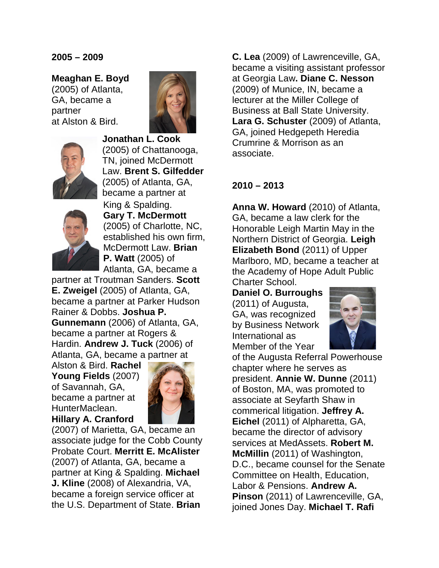#### **2005 – 2009**

**Meaghan E. Boyd**  (2005) of Atlanta, GA, became a partner at Alston & Bird.





**Jonathan L. Cook**  (2005) of Chattanooga, TN, joined McDermott Law. **Brent S. Gilfedder** (2005) of Atlanta, GA, became a partner at



King & Spalding. **Gary T. McDermott**  (2005) of Charlotte, NC, established his own firm, McDermott Law. **Brian P. Watt** (2005) of Atlanta, GA, became a

partner at Troutman Sanders. **Scott E. Zweigel** (2005) of Atlanta, GA, became a partner at Parker Hudson Rainer & Dobbs. **Joshua P. Gunnemann** (2006) of Atlanta, GA, became a partner at Rogers & Hardin. **Andrew J. Tuck** (2006) of Atlanta, GA, became a partner at

Alston & Bird. **Rachel Young Fields** (2007) of Savannah, GA, became a partner at HunterMaclean. **Hillary A. Cranford**



(2007) of Marietta, GA, became an associate judge for the Cobb County Probate Court. **Merritt E. McAlister** (2007) of Atlanta, GA, became a partner at King & Spalding. **Michael J. Kline** (2008) of Alexandria, VA, became a foreign service officer at the U.S. Department of State. **Brian** 

**C. Lea** (2009) of Lawrenceville, GA, became a visiting assistant professor at Georgia Law**. Diane C. Nesson** (2009) of Munice, IN, became a lecturer at the Miller College of Business at Ball State University. **Lara G. Schuster** (2009) of Atlanta, GA, joined Hedgepeth Heredia Crumrine & Morrison as an associate.

## **2010 – 2013**

**Anna W. Howard** (2010) of Atlanta, GA, became a law clerk for the Honorable Leigh Martin May in the Northern District of Georgia. **Leigh Elizabeth Bond** (2011) of Upper Marlboro, MD, became a teacher at the Academy of Hope Adult Public Charter School.

**Daniel O. Burroughs**  (2011) of Augusta, GA, was recognized by Business Network International as Member of the Year



of the Augusta Referral Powerhouse chapter where he serves as president. **Annie W. Dunne** (2011) of Boston, MA, was promoted to associate at Seyfarth Shaw in commerical litigation. **Jeffrey A. Eichel** (2011) of Alpharetta, GA, became the director of advisory services at MedAssets. **Robert M. McMillin** (2011) of Washington, D.C., became counsel for the Senate Committee on Health, Education, Labor & Pensions. **Andrew A. Pinson** (2011) of Lawrenceville, GA, joined Jones Day. **Michael T. Rafi**